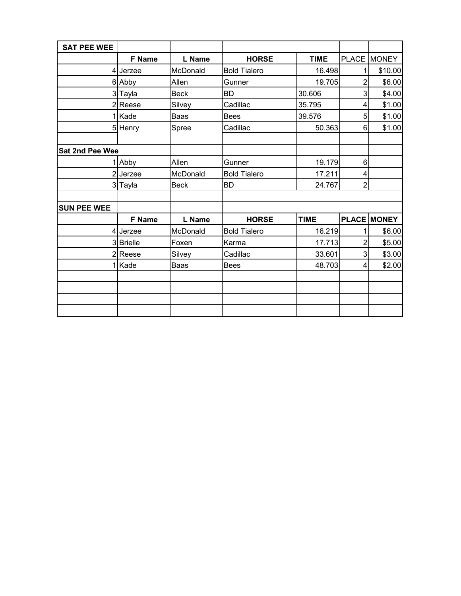| <b>SAT PEE WEE</b>     |               |             |                     |             |                |                    |
|------------------------|---------------|-------------|---------------------|-------------|----------------|--------------------|
|                        | F Name        | L Name      | <b>HORSE</b>        | <b>TIME</b> |                | PLACE MONEY        |
|                        | 4 Jerzee      | McDonald    | <b>Bold Tialero</b> | 16.498      | 1              | \$10.00            |
|                        | 6 Abby        | Allen       | Gunner              | 19.705      | $\overline{2}$ | \$6.00             |
|                        | 3 Tayla       | <b>Beck</b> | <b>BD</b>           | 30.606      | 3              | \$4.00             |
|                        | 2Reese        | Silvey      | Cadillac            | 35.795      | 4              | \$1.00             |
|                        | Kade          | Baas        | <b>Bees</b>         | 39.576      | 5              | \$1.00             |
|                        | 5 Henry       | Spree       | Cadillac            | 50.363      | 6              | \$1.00             |
|                        |               |             |                     |             |                |                    |
| <b>Sat 2nd Pee Wee</b> |               |             |                     |             |                |                    |
|                        | Abby          | Allen       | Gunner              | 19.179      | 6              |                    |
|                        | 2 Jerzee      | McDonald    | <b>Bold Tialero</b> | 17.211      | 4              |                    |
|                        | 3 Tayla       | <b>Beck</b> | <b>BD</b>           | 24.767      | $\overline{2}$ |                    |
|                        |               |             |                     |             |                |                    |
| <b>SUN PEE WEE</b>     |               |             |                     |             |                |                    |
|                        | <b>F</b> Name | L Name      | <b>HORSE</b>        | <b>TIME</b> |                | <b>PLACE MONEY</b> |
|                        | 4 Jerzee      | McDonald    | <b>Bold Tialero</b> | 16.219      |                | \$6.00             |
|                        | 3 Brielle     | Foxen       | Karma               | 17.713      | 2              | \$5.00             |
|                        | 2Reese        | Silvey      | Cadillac            | 33.601      | 3              | \$3.00             |
|                        | Kade          | Baas        | <b>Bees</b>         | 48.703      | 4              | \$2.00             |
|                        |               |             |                     |             |                |                    |
|                        |               |             |                     |             |                |                    |
|                        |               |             |                     |             |                |                    |
|                        |               |             |                     |             |                |                    |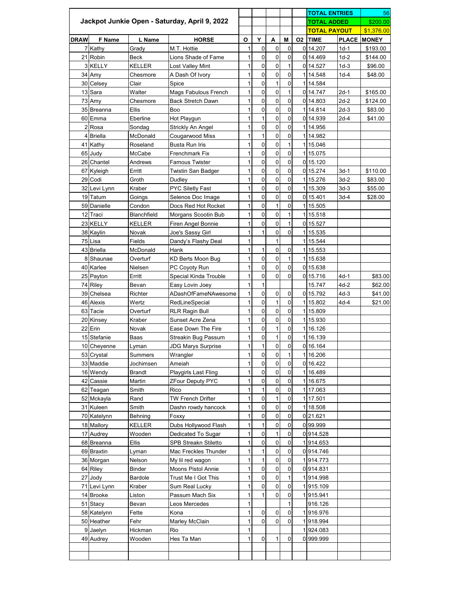|             |               |                    |                                               |              |                |                | <b>TOTAL ENTRIES</b> |              | 56                  |        |                    |
|-------------|---------------|--------------------|-----------------------------------------------|--------------|----------------|----------------|----------------------|--------------|---------------------|--------|--------------------|
|             |               |                    | Jackpot Junkie Open - Saturday, April 9, 2022 |              |                |                |                      |              | <b>TOTAL ADDED</b>  |        | \$200.00           |
|             |               |                    |                                               |              |                |                |                      |              | <b>TOTAL PAYOUT</b> |        | \$1,376.00         |
| <b>DRAW</b> | <b>F</b> Name | L Name             | <b>HORSE</b>                                  | $\mathbf{o}$ | Y              | A              | M                    | <b>O2</b>    | <b>TIME</b>         |        | <b>PLACE MONEY</b> |
|             | 7 Kathy       | Grady              | M.T. Hottie                                   | 1            | 0              | $\pmb{0}$      | $\mathbf 0$          |              | 014.207             | $1d-1$ | \$193.00           |
|             | 21 Robin      | <b>Beck</b>        | Lions Shade of Fame                           |              | 0              | $\mathbf 0$    | 0                    |              | 014.469             | $1d-2$ | \$144.00           |
|             | 3 KELLY       | <b>KELLER</b>      | Lost Valley Mint                              | 1            | $\mathbf 0$    | $\mathbf 0$    | $\mathbf 1$          |              | 0 14.527            | $1d-3$ | \$96.00            |
|             | 34 Amy        | Chesmore           | A Dash Of Ivory                               | 1            | 0              | $\mathsf 0$    | 0                    |              | 1 14.548            | $1d-4$ | \$48.00            |
|             | 30 Celsey     | Clair              | Spice                                         | 1            | $\overline{0}$ | $\mathbf{1}$   | $\overline{0}$       |              | 1 14.584            |        |                    |
|             | 13 Sara       | Walter             | <b>Mags Fabulous French</b>                   | 1            | 0              | $\pmb{0}$      | 1                    |              | 0 14.747            | $2d-1$ | \$165.00           |
|             | 73 Amy        | Chesmore           | <b>Back Stretch Dawn</b>                      | 1            | 0              | $\mathbf 0$    | $\mathbf 0$          |              | 0 14.803            | $2d-2$ | \$124.00           |
|             | 35 Breanna    | <b>Ellis</b>       | Boo                                           |              | 0              | $\pmb{0}$      | 0                    |              | 1 14.814            | $2d-3$ | \$83.00            |
|             | 60 Emma       | Eberline           | Hot Playgun                                   |              |                | $\overline{0}$ | 0                    |              | 0 14.939            | $2d-4$ | \$41.00            |
|             | 2Rosa         | Sondag             | Strickly An Angel                             | 1            | 0              | $\pmb{0}$      | 0                    |              | 114.956             |        |                    |
|             | 4 Briella     | McDonald           | Cougarwood Miss                               | 1            |                | $\pmb{0}$      | 0                    |              | 114.982             |        |                    |
|             | 41 Kathy      | Roseland           | <b>Busta Run Iris</b>                         | 1            | $\overline{0}$ | $\pmb{0}$      | $\overline{1}$       |              | 115.046             |        |                    |
|             | 65 Judy       | McCabe             | <b>Frenchmark Fix</b>                         | 1            | 0              | $\mathbf 0$    | $\mathsf 0$          |              | 115.075             |        |                    |
|             | 26 Chantel    | Andrews            | <b>Famous Twister</b>                         | 1            | $\overline{0}$ | $\mathbf 0$    | $\mathbf 0$          |              | 0 15.120            |        |                    |
|             | 67 Kyleigh    | Erritt             | Twistin San Badger                            | 1            | 0              | $\pmb{0}$      | $\mathsf 0$          |              | 0 15.274            | $3d-1$ | \$110.00           |
|             | 29 Codi       | Groth              | Dudley                                        | 1            | 0              | $\mathbf 0$    | $\mathbf 0$          |              | 115.276             | $3d-2$ | \$83.00            |
|             | 32 Levi Lynn  | Kraber             | <b>PYC Siletly Fast</b>                       | 1            | 0              | $\pmb{0}$      | 0                    |              | 115.309             | $3d-3$ | \$55.00            |
|             | 19 Tatum      | Goings             | Selenos Doc Image                             | 1            | 0              | $\overline{0}$ | $\mathbf 0$          |              | 0 15.401            | $3d-4$ | \$28.00            |
|             | 59 Danielle   | Condon             | Docs Red Hot Rocket                           | 1            | 0              | $\mathbf{1}$   | 0                    |              | 115.505             |        |                    |
|             | 12 Traci      | <b>Blanchfield</b> | Morgans Scootin Bub                           |              | 0              | $\pmb{0}$      | 1                    |              | 1 15.518            |        |                    |
|             | 23 KELLY      | <b>KELLER</b>      | Firen Angel Bonnie                            | 1            | 0              | $\mathbf 0$    | 1                    |              | 0 15.527            |        |                    |
|             | 38 Kaylin     | Novak              | Joe's Sassy Girl                              |              |                | $\pmb{0}$      | 0                    |              | 1 15.535            |        |                    |
|             | 75 Lisa       | Fields             | Dandy's Flashy Deal                           | 1            |                | $\mathbf{1}$   |                      |              | 1 15.544            |        |                    |
|             | 43 Briella    | McDonald           | Hank                                          | 1            | 1              | $\pmb{0}$      | 0                    |              | 1 15.553            |        |                    |
|             | 8 Shaunae     | Overturf           | <b>KD Berts Moon Bug</b>                      | 1            | $\mathsf 0$    | $\pmb{0}$      | 1                    |              | 115.638             |        |                    |
|             | 40 Karlee     | Nielsen            | PC Coyoty Run                                 | 11           | $\overline{0}$ | 0              | $\mathbf 0$          |              | 0 15.638            |        |                    |
|             | 25 Payton     | Erritt             | Special Kinda Trouble                         |              | 0              | $\overline{0}$ | $\overline{0}$       |              | 0 15.716            | $4d-1$ | \$83.00            |
|             | 74 Riley      | Bevan              | Easy Lovin Joey                               |              |                |                |                      |              | 15.747              | $4d-2$ | \$62.00            |
|             | 39 Chelsea    | Richter            | ADashOfFameNAwesome                           |              | 0              | $\pmb{0}$      | $\pmb{0}$            |              | 0 15.792            | $4d-3$ | \$41.00            |
|             | 46 Alexis     | Wertz              | RedLineSpecial                                | 1            | 0              | $\mathbf{1}$   | 0                    | $\mathbf{1}$ | 15.802              | $4d-4$ | \$21.00            |
|             | 63 Tacie      | Overturf           | <b>RLR Ragin Bull</b>                         |              | 0              | $\mathbf 0$    | 0                    |              | 115.809             |        |                    |
|             | 20 Kinsey     | Kraber             | Sunset Acre Zena                              |              | $\overline{0}$ | $\mathbf 0$    | $\mathbf 0$          |              | 115.930             |        |                    |
|             | 22 Erin       | Novak              | Ease Down The Fire                            |              | 0              | $\overline{1}$ | 0                    |              | 1 16.126            |        |                    |
|             | 15 Stefanie   | Baas               | <b>Streakin Bug Passum</b>                    | 1            | $\overline{0}$ | $\mathbf{1}$   | $\mathbf 0$          |              | 116.139             |        |                    |
|             | 10 Cheyenne   | Lyman              | <b>JDG Marys Surprise</b>                     |              |                | $\pmb{0}$      | 0                    |              | 0 16.164            |        |                    |
|             | 53 Crystal    | <b>Summers</b>     | Wrangler                                      |              | $\overline{0}$ | $\mathbf 0$    | 1                    |              | 1 16.206            |        |                    |
|             | 33 Maddie     | Jochimsen          | Ameiah                                        | 1            | 0              | $\mathbf 0$    | 0                    |              | 0 16.422            |        |                    |
|             | 16 Wendy      | <b>Brandt</b>      | <b>Playgirls Last Fling</b>                   |              | 0              | $\mathbf 0$    | 0                    |              | 116.489             |        |                    |
|             | 42 Cassie     | Martin             | <b>ZFour Deputy PYC</b>                       | 1            | 0              | $\mathbf 0$    | 0                    |              | 1 16.675            |        |                    |
|             | 62 Teagan     | Smith              | Rico                                          |              |                | $\pmb{0}$      | 0                    |              | 117.063             |        |                    |
|             | 52 Mckayla    | Rand               | <b>TW French Drifter</b>                      |              | 0              | $\mathbf{1}$   | 0                    |              | 117.501             |        |                    |
|             | 31 Kuleen     | Smith              | Dashn rowdy hancock                           |              | 0              | $\pmb{0}$      | 0                    |              | 1 18.508            |        |                    |
|             | 70 Katelynn   | Behning            | Foxxy                                         |              | $\overline{0}$ | $\mathbf 0$    | $\mathbf 0$          |              | 021.621             |        |                    |
|             | 18 Mallory    | <b>KELLER</b>      | Dubs Hollywood Flash                          |              |                | $\pmb{0}$      | 0                    |              | 099.999             |        |                    |
|             | 17 Audrey     | Wooden             | Dedicated To Sugar                            |              | 0              | $\mathbf{1}$   | 0                    |              | 0914.528            |        |                    |
|             | 68 Breanna    | <b>Ellis</b>       | <b>SPB Streakn Stiletto</b>                   |              | 0              | $\pmb{0}$      | 0                    |              | 1914.653            |        |                    |
|             | 69 Braxtin    | Lyman              | Mac Freckles Thunder                          |              |                | $\mathbf 0$    | 0                    |              | 0914.746            |        |                    |
|             | 36 Morgan     | Nelson             | My lil red wagon                              | 1            | 1              | $\mathbf 0$    | 0                    |              | 1914.773            |        |                    |
|             | 64 Riley      | <b>Binder</b>      | <b>Moons Pistol Annie</b>                     |              | 0              | $\pmb{0}$      | 0                    |              | 0914.831            |        |                    |
|             | 27 Jody       | Bardole            | Trust Me I Got This                           |              | $\overline{0}$ | $\mathbf 0$    | 1                    |              | 1914.998            |        |                    |
|             | 71 Levi Lynn  | Kraber             | Sum Real Lucky                                |              | 0              | $\pmb{0}$      | 0                    |              | 1915.109            |        |                    |
|             | 14 Brooke     | Liston             | Passum Mach Six                               | 1            | 1              | $\mathbf 0$    | $\mathbf 0$          |              | 1915.941            |        |                    |
|             | 51 Stacy      | Bevan              | Leos Mercedes                                 | 1            |                |                | 1                    |              | 916.126             |        |                    |
|             | 58 Katelynn   | Fette              | Kona                                          |              | 0              | $\pmb{0}$      | 0                    |              | 1916.976            |        |                    |
|             | 50 Heather    | Fehr               | Marley McClain                                |              | $\overline{0}$ | $\overline{0}$ | $\overline{0}$       |              | 1918.994            |        |                    |
|             | 9 Jaelyn      | Hickman            | Rio                                           | $\mathbf{1}$ |                |                |                      |              | 1924.083            |        |                    |
|             | 49 Audrey     | Wooden             | Hes Ta Man                                    | 1            | $\overline{0}$ | $\mathbf{1}$   | $\overline{0}$       |              | 0999.999            |        |                    |
|             |               |                    |                                               |              |                |                |                      |              |                     |        |                    |
|             |               |                    |                                               |              |                |                |                      |              |                     |        |                    |
|             |               |                    |                                               |              |                |                |                      |              |                     |        |                    |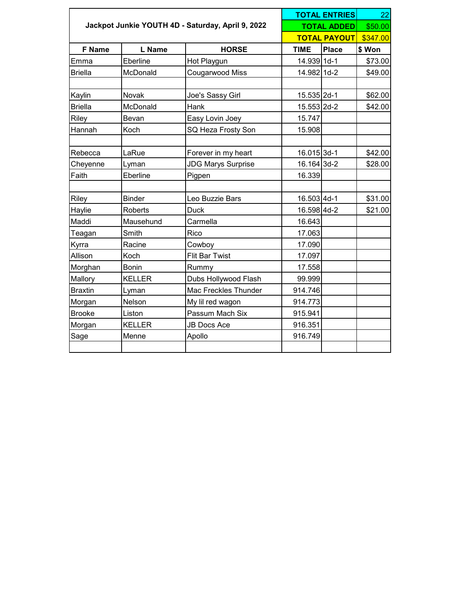|                |                |                                                   |             | <b>TOTAL ENTRIES</b> | 22       |
|----------------|----------------|---------------------------------------------------|-------------|----------------------|----------|
|                |                | Jackpot Junkie YOUTH 4D - Saturday, April 9, 2022 |             | <b>TOTAL ADDED</b>   | \$50.00  |
|                |                |                                                   |             | <b>TOTAL PAYOUT</b>  | \$347.00 |
| <b>F</b> Name  | L Name         | <b>HORSE</b>                                      | <b>TIME</b> | <b>Place</b>         | \$ Won   |
| Emma           | Eberline       | Hot Playgun                                       | 14.939 1d-1 |                      | \$73.00  |
| <b>Briella</b> | McDonald       | Cougarwood Miss                                   | 14.982 1d-2 |                      | \$49.00  |
| Kaylin         | Novak          | Joe's Sassy Girl                                  | 15.535 2d-1 |                      | \$62.00  |
| <b>Briella</b> | McDonald       | Hank                                              | 15.553 2d-2 |                      | \$42.00  |
| Riley          | Bevan          | Easy Lovin Joey                                   | 15.747      |                      |          |
| Hannah         | Koch           | SQ Heza Frosty Son                                | 15.908      |                      |          |
|                |                |                                                   |             |                      |          |
| Rebecca        | LaRue          | Forever in my heart                               | 16.015 3d-1 |                      | \$42.00  |
| Cheyenne       | Lyman          | <b>JDG Marys Surprise</b>                         | 16.164 3d-2 |                      | \$28.00  |
| Faith          | Eberline       | Pigpen                                            | 16.339      |                      |          |
|                |                |                                                   |             |                      |          |
| Riley          | Binder         | Leo Buzzie Bars                                   | 16.503 4d-1 |                      | \$31.00  |
| Haylie         | <b>Roberts</b> | <b>Duck</b>                                       | 16.598 4d-2 |                      | \$21.00  |
| Maddi          | Mausehund      | Carmella                                          | 16.643      |                      |          |
| Teagan         | Smith          | Rico                                              | 17.063      |                      |          |
| Kyrra          | Racine         | Cowboy                                            | 17.090      |                      |          |
| Allison        | Koch           | <b>Flit Bar Twist</b>                             | 17.097      |                      |          |
| Morghan        | <b>Bonin</b>   | Rummy                                             | 17.558      |                      |          |
| Mallory        | <b>KELLER</b>  | Dubs Hollywood Flash                              | 99.999      |                      |          |
| <b>Braxtin</b> | Lyman          | Mac Freckles Thunder                              | 914.746     |                      |          |
| Morgan         | Nelson         | My lil red wagon                                  | 914.773     |                      |          |
| Brooke         | Liston         | Passum Mach Six                                   | 915.941     |                      |          |
| Morgan         | <b>KELLER</b>  | <b>JB Docs Ace</b>                                | 916.351     |                      |          |
| Sage           | Menne          | Apollo                                            | 916.749     |                      |          |
|                |                |                                                   |             |                      |          |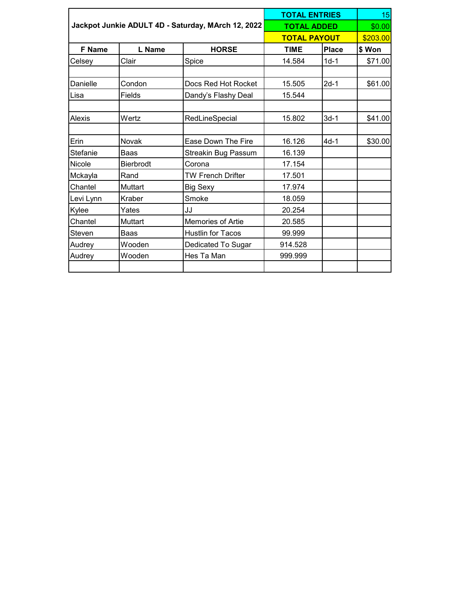|               |                  |                                                    | <b>TOTAL ENTRIES</b> |              |          |
|---------------|------------------|----------------------------------------------------|----------------------|--------------|----------|
|               |                  | Jackpot Junkie ADULT 4D - Saturday, MArch 12, 2022 | <b>TOTAL ADDED</b>   |              | \$0.00   |
|               |                  |                                                    | <b>TOTAL PAYOUT</b>  |              | \$203.00 |
| <b>F</b> Name | L Name           | <b>HORSE</b>                                       | <b>TIME</b>          | <b>Place</b> | \$Won    |
| Celsey        | Clair            | Spice                                              | 14.584               | $1d-1$       | \$71.00  |
|               |                  |                                                    |                      |              |          |
| Danielle      | Condon           | Docs Red Hot Rocket                                | 15.505               | $2d-1$       | \$61.00  |
| Lisa          | Fields           | Dandy's Flashy Deal                                | 15.544               |              |          |
| Alexis        | Wertz            | RedLineSpecial                                     | 15.802               | $3d-1$       | \$41.00  |
| Erin          | Novak            | Ease Down The Fire                                 | 16.126               | $4d-1$       | \$30.00  |
| Stefanie      | <b>Baas</b>      | Streakin Bug Passum                                | 16.139               |              |          |
| Nicole        | <b>Bierbrodt</b> | Corona                                             | 17.154               |              |          |
| Mckayla       | Rand             | <b>TW French Drifter</b>                           | 17.501               |              |          |
| Chantel       | Muttart          | <b>Big Sexy</b>                                    | 17.974               |              |          |
| Levi Lynn     | Kraber           | Smoke                                              | 18.059               |              |          |
| Kylee         | Yates            | JJ                                                 | 20.254               |              |          |
| Chantel       | Muttart          | <b>Memories of Artie</b>                           | 20.585               |              |          |
| Steven        | <b>Baas</b>      | <b>Hustlin for Tacos</b>                           | 99.999               |              |          |
| Audrey        | Wooden           | Dedicated To Sugar                                 | 914.528              |              |          |
| Audrey        | Wooden           | Hes Ta Man                                         | 999.999              |              |          |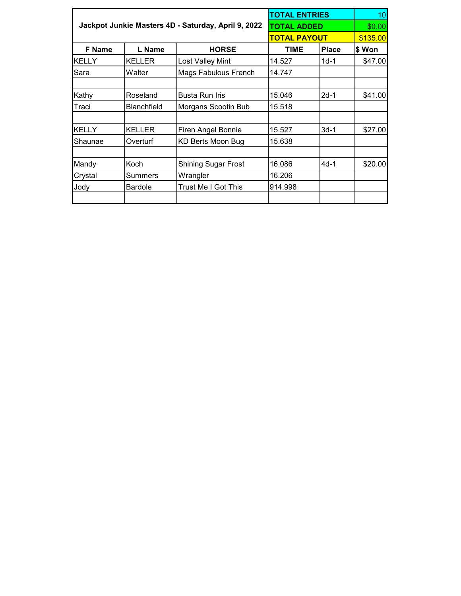|               |                    |                                                     | <b>TOTAL ENTRIES</b> |              | 10 <sup>1</sup> |
|---------------|--------------------|-----------------------------------------------------|----------------------|--------------|-----------------|
|               |                    | Jackpot Junkie Masters 4D - Saturday, April 9, 2022 | <b>TOTAL ADDED</b>   |              | \$0.00          |
|               |                    |                                                     | <b>TOTAL PAYOUT</b>  |              | \$135.00        |
| <b>F</b> Name | L Name             | <b>HORSE</b>                                        | <b>TIME</b>          | <b>Place</b> | \$Won           |
| <b>KELLY</b>  | <b>KELLER</b>      | Lost Valley Mint                                    | 14.527               | $1d-1$       | \$47.00         |
| Sara          | Walter             | Mags Fabulous French                                | 14.747               |              |                 |
| Kathy         | Roseland           | <b>Busta Run Iris</b>                               | 15.046               | $2d-1$       | \$41.00         |
| Traci         | <b>Blanchfield</b> | Morgans Scootin Bub                                 | 15.518               |              |                 |
| <b>KELLY</b>  | <b>KELLER</b>      | <b>Firen Angel Bonnie</b>                           | 15.527               | $3d-1$       | \$27.00         |
| Shaunae       | Overturf           | KD Berts Moon Bug                                   | 15.638               |              |                 |
| Mandy         | Koch               | <b>Shining Sugar Frost</b>                          | 16.086               | 4d-1         | \$20.00         |
| Crystal       | Summers            | Wrangler                                            | 16.206               |              |                 |
| Jody          | <b>Bardole</b>     | Trust Me I Got This                                 | 914.998              |              |                 |
|               |                    |                                                     |                      |              |                 |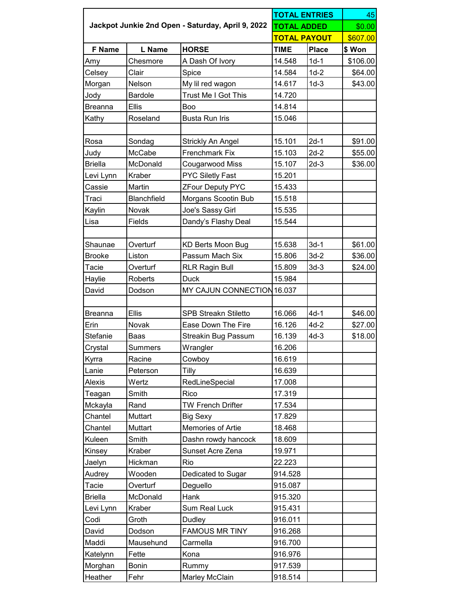|                |                    |                                                   | <b>TOTAL ENTRIES</b> | 45           |          |
|----------------|--------------------|---------------------------------------------------|----------------------|--------------|----------|
|                |                    | Jackpot Junkie 2nd Open - Saturday, April 9, 2022 | <b>TOTAL ADDED</b>   |              | \$0.00   |
|                |                    |                                                   | <b>TOTAL PAYOUT</b>  |              | \$607.00 |
| <b>F</b> Name  | L Name             | <b>HORSE</b>                                      | <b>TIME</b>          | <b>Place</b> | \$ Won   |
| Amy            | Chesmore           | A Dash Of Ivory                                   | 14.548               | $1d-1$       | \$106.00 |
| Celsey         | Clair              | Spice                                             | 14.584               | $1d-2$       | \$64.00  |
| Morgan         | Nelson             | My lil red wagon                                  | 14.617               | $1d-3$       | \$43.00  |
| Jody           | <b>Bardole</b>     | Trust Me I Got This                               | 14.720               |              |          |
| Breanna        | <b>Ellis</b>       | Boo                                               | 14.814               |              |          |
| Kathy          | Roseland           | <b>Busta Run Iris</b>                             | 15.046               |              |          |
|                |                    |                                                   |                      |              |          |
| Rosa           | Sondag             | Strickly An Angel                                 | 15.101               | $2d-1$       | \$91.00  |
| Judy           | McCabe             | <b>Frenchmark Fix</b>                             | 15.103               | $2d-2$       | \$55.00  |
| <b>Briella</b> | McDonald           | Cougarwood Miss                                   | 15.107               | $2d-3$       | \$36.00  |
| Levi Lynn      | Kraber             | <b>PYC Siletly Fast</b>                           | 15.201               |              |          |
| Cassie         | Martin             | <b>ZFour Deputy PYC</b>                           | 15.433               |              |          |
| Traci          | <b>Blanchfield</b> | Morgans Scootin Bub                               | 15.518               |              |          |
| Kaylin         | Novak              | Joe's Sassy Girl                                  | 15.535               |              |          |
| Lisa           | Fields             | Dandy's Flashy Deal                               | 15.544               |              |          |
|                |                    |                                                   |                      |              |          |
| Shaunae        | Overturf           | KD Berts Moon Bug                                 | 15.638               | $3d-1$       | \$61.00  |
| Brooke         | Liston             | Passum Mach Six                                   | 15.806               | $3d-2$       | \$36.00  |
| Tacie          | Overturf           | <b>RLR Ragin Bull</b>                             | 15.809               | $3d-3$       | \$24.00  |
| Haylie         | Roberts            | <b>Duck</b>                                       | 15.984               |              |          |
| David          | Dodson             | MY CAJUN CONNECTION 16.037                        |                      |              |          |
|                |                    |                                                   |                      |              |          |
| Breanna        | <b>Ellis</b>       | <b>SPB Streakn Stiletto</b>                       | 16.066               | $4d-1$       | \$46.00  |
| Erin           | Novak              | Ease Down The Fire                                | 16.126               | $4d-2$       | \$27.00  |
| Stefanie       | Baas               | Streakin Bug Passum                               | 16.139               | $4d-3$       | \$18.00  |
| Crystal        | Summers            | Wrangler                                          | 16.206               |              |          |
| Kyrra          | Racine             | Cowboy                                            | 16.619               |              |          |
| Lanie          | Peterson           | Tilly                                             | 16.639               |              |          |
| Alexis         | Wertz              | RedLineSpecial                                    | 17.008               |              |          |
| Teagan         | Smith              | Rico                                              | 17.319               |              |          |
| Mckayla        | Rand               | <b>TW French Drifter</b>                          | 17.534               |              |          |
| Chantel        | Muttart            | <b>Big Sexy</b>                                   | 17.829               |              |          |
| Chantel        | Muttart            | Memories of Artie                                 | 18.468               |              |          |
| Kuleen         | Smith              | Dashn rowdy hancock                               | 18.609               |              |          |
| Kinsey         | Kraber             | Sunset Acre Zena                                  | 19.971               |              |          |
| Jaelyn         | Hickman            | Rio                                               | 22.223               |              |          |
| Audrey         | Wooden             | Dedicated to Sugar                                | 914.528              |              |          |
| Tacie          | Overturf           | Deguello                                          | 915.087              |              |          |
| <b>Briella</b> | McDonald           | Hank                                              | 915.320              |              |          |
| Levi Lynn      | Kraber             | <b>Sum Real Luck</b>                              | 915.431              |              |          |
| Codi           | Groth              | Dudley                                            | 916.011              |              |          |
| David          | Dodson             | <b>FAMOUS MR TINY</b>                             | 916.268              |              |          |
| Maddi          | Mausehund          | Carmella                                          | 916.700              |              |          |
| Katelynn       | Fette              | Kona                                              | 916.976              |              |          |
| Morghan        | <b>Bonin</b>       | Rummy                                             | 917.539              |              |          |
| Heather        | Fehr               | Marley McClain                                    | 918.514              |              |          |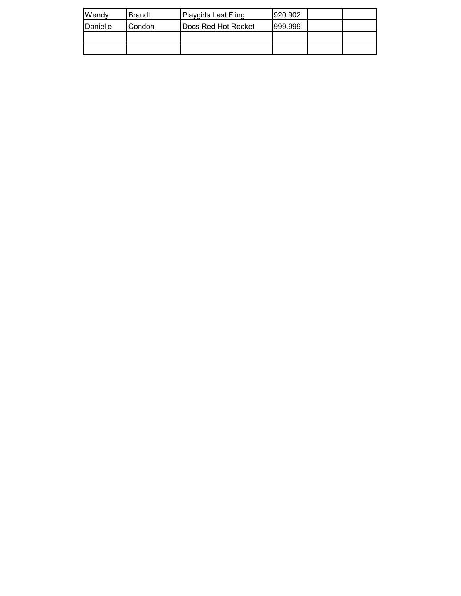| <b>I</b> Wendy   | lBrandt. | <b>Playgirls Last Fling</b> | 920.902 |  |
|------------------|----------|-----------------------------|---------|--|
| <b>IDanielle</b> | Condon   | <b>IDocs Red Hot Rocket</b> | 999.999 |  |
|                  |          |                             |         |  |
|                  |          |                             |         |  |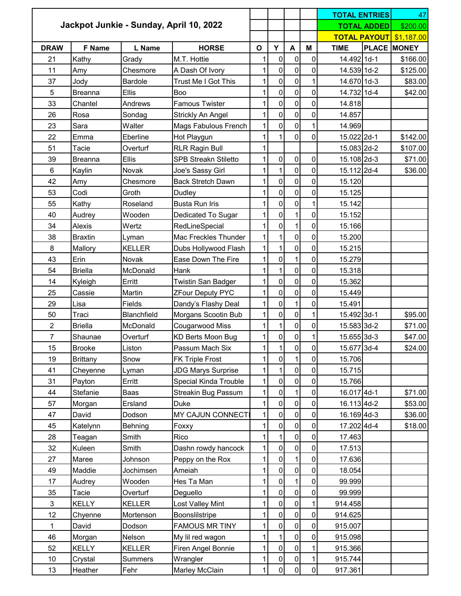|                |                 |                |                                         |              |                |                |                | <b>TOTAL ENTRIES</b> |                    | 47                             |
|----------------|-----------------|----------------|-----------------------------------------|--------------|----------------|----------------|----------------|----------------------|--------------------|--------------------------------|
|                |                 |                | Jackpot Junkie - Sunday, April 10, 2022 |              |                |                |                |                      | <b>TOTAL ADDED</b> | \$200.00                       |
|                |                 |                |                                         |              |                |                |                |                      |                    | <b>TOTAL PAYOUT</b> \$1,187.00 |
| <b>DRAW</b>    | F Name          | <b>L</b> Name  | <b>HORSE</b>                            | $\mathbf{o}$ | Y              | A              | M              | <b>TIME</b>          |                    | <b>PLACE MONEY</b>             |
| 21             | Kathy           | Grady          | M.T. Hottie                             | 1            | 0              | $\overline{0}$ | 0              | 14.492 1d-1          |                    | \$166.00                       |
| 11             | Amy             | Chesmore       | A Dash Of Ivory                         | 1            | 0              | $\overline{0}$ | 0              | 14.539 1d-2          |                    | \$125.00                       |
| 37             | Jody            | <b>Bardole</b> | Trust Me I Got This                     | 1            | 0              | $\overline{0}$ | $\mathbf{1}$   | 14.670 1d-3          |                    | \$83.00                        |
| 5              | <b>Breanna</b>  | Ellis          | Boo                                     | 1            | 0              | $\mathbf 0$    | 0              | 14.732 1d-4          |                    | \$42.00                        |
| 33             | Chantel         | Andrews        | <b>Famous Twister</b>                   | $\mathbf{1}$ | 0              | $\pmb{0}$      | 0              | 14.818               |                    |                                |
| 26             | Rosa            | Sondag         | Strickly An Angel                       | $\mathbf{1}$ | 0              | $\overline{0}$ | 0              | 14.857               |                    |                                |
| 23             | Sara            | Walter         | Mags Fabulous French                    | 1            | 0              | $\overline{0}$ | 1              | 14.969               |                    |                                |
| 22             | Emma            | Eberline       | Hot Playgun                             | 1            |                | $\overline{0}$ | 0              | 15.022 2d-1          |                    | \$142.00                       |
| 51             | Tacie           | Overturf       | <b>RLR Ragin Bull</b>                   | $\mathbf{1}$ |                |                |                | 15.083 2d-2          |                    | \$107.00                       |
| 39             | <b>Breanna</b>  | Ellis          | <b>SPB Streakn Stiletto</b>             | 1            | 0              | $\overline{0}$ | $\pmb{0}$      | 15.108 2d-3          |                    | \$71.00                        |
| $\,6\,$        | Kaylin          | Novak          | Joe's Sassy Girl                        | 1            | 1              | $\overline{0}$ | $\overline{0}$ | 15.112 2d-4          |                    | \$36.00                        |
| 42             | Amy             | Chesmore       | <b>Back Stretch Dawn</b>                | 1            | 0              | $\overline{0}$ | 0              | 15.120               |                    |                                |
| 53             | Codi            | Groth          | Dudley                                  | $\mathbf{1}$ | 0              | $\overline{0}$ | $\overline{0}$ | 15.125               |                    |                                |
| 55             | Kathy           | Roseland       | <b>Busta Run Iris</b>                   | 1            | 0              | $\overline{0}$ | 1              | 15.142               |                    |                                |
| 40             | Audrey          | Wooden         | Dedicated To Sugar                      | 1            | 0              | $\mathbf{1}$   | 0              | 15.152               |                    |                                |
| 34             | Alexis          | Wertz          | RedLineSpecial                          | 1            | 0              | $\mathbf{1}$   | 0              | 15.166               |                    |                                |
| 38             | <b>Braxtin</b>  | Lyman          | Mac Freckles Thunder                    | $\mathbf{1}$ |                | $\overline{0}$ | 0              | 15.200               |                    |                                |
| 8              | Mallory         | <b>KELLER</b>  | Dubs Hollywood Flash                    | $\mathbf{1}$ | 1              | $\overline{0}$ | 0              | 15.215               |                    |                                |
| 43             | Erin            | Novak          | Ease Down The Fire                      | 1            | 0              | $\mathbf{1}$   | 0              | 15.279               |                    |                                |
| 54             | <b>Briella</b>  | McDonald       | Hank                                    | $\mathbf{1}$ | $\mathbf{1}$   | $\overline{0}$ | $\mathbf 0$    | 15.318               |                    |                                |
| 14             | Kyleigh         | Erritt         | Twistin San Badger                      | 1            | 0              | $\mathbf 0$    | 0              | 15.362               |                    |                                |
| 25             | Cassie          | Martin         | <b>ZFour Deputy PYC</b>                 | $\mathbf{1}$ | 0              | $\overline{0}$ | 0              | 15.449               |                    |                                |
| 29             | Lisa            | Fields         | Dandy's Flashy Deal                     | 1            | 0              | $\mathbf{1}$   | 0              | 15.491               |                    |                                |
| 50             | Traci           | Blanchfield    | Morgans Scootin Bub                     | $\mathbf 1$  | $\overline{0}$ | $\overline{0}$ | $\mathbf{1}$   | 15.492 3d-1          |                    | \$95.00                        |
| $\overline{2}$ | Briella         | McDonald       | Cougarwood Miss                         | $\mathbf{1}$ | 1              | $\overline{0}$ | $\overline{0}$ | 15.583 3d-2          |                    | \$71.00                        |
| 7              | Shaunae         | Overturf       | <b>KD Berts Moon Bug</b>                | 1            | $\overline{0}$ | 0              | $1\vert$       | 15.655 3d-3          |                    | \$47.00                        |
| 15             | <b>Brooke</b>   | Liston         | Passum Mach Six                         | 1            |                | $\overline{0}$ | 0              | 15.677 3d-4          |                    | \$24.00                        |
| 19             | <b>Brittany</b> | Snow           | <b>FK Triple Frost</b>                  | 1            | 0              | $\mathbf{1}$   | 0              | 15.706               |                    |                                |
| 41             | Cheyenne        | Lyman          | <b>JDG Marys Surprise</b>               | $\mathbf{1}$ |                | $\overline{0}$ | 0              | 15.715               |                    |                                |
| 31             | Payton          | Erritt         | Special Kinda Trouble                   | 1            | 0              | $\overline{0}$ | 0              | 15.766               |                    |                                |
| 44             | Stefanie        | Baas           | <b>Streakin Bug Passum</b>              | 1            | 0              | $\mathbf{1}$   | 0              | 16.017 4d-1          |                    | \$71.00                        |
| 57             | Morgan          | Ersland        | <b>Duke</b>                             | 1            | 0              | $\overline{0}$ | 0              | 16.113 4d-2          |                    | \$53.00                        |
| 47             | David           | Dodson         | MY CAJUN CONNECT                        | $\mathbf 1$  | $\overline{0}$ | $\overline{0}$ | 0              | 16.169 4d-3          |                    | \$36.00                        |
| 45             | Katelynn        | Behning        | Foxxy                                   | 1            | 0              | $\overline{0}$ | $\overline{0}$ | 17.202 4d-4          |                    | \$18.00                        |
| 28             | Teagan          | Smith          | Rico                                    | 1            |                | $\overline{0}$ | 0              | 17.463               |                    |                                |
| 32             | Kuleen          | Smith          | Dashn rowdy hancock                     | 1            | 0              | $\overline{0}$ | 0              | 17.513               |                    |                                |
| 27             | Maree           | Johnson        | Peppy on the Rox                        | 1            | 0              | $\mathbf{1}$   | 0              | 17.636               |                    |                                |
| 49             | Maddie          | Jochimsen      | Ameiah                                  | 1            | 0              | $\overline{0}$ | 0              | 18.054               |                    |                                |
| 17             | Audrey          | Wooden         | Hes Ta Man                              | 1            | 0              | 1              | 0              | 99.999               |                    |                                |
| 35             | Tacie           | Overturf       | Deguello                                | 1            | $\overline{0}$ | $\overline{0}$ | 0              | 99.999               |                    |                                |
| $\mathfrak{S}$ | <b>KELLY</b>    | <b>KELLER</b>  | Lost Valley Mint                        | 1            | 0              | $\overline{0}$ | 1              | 914.458              |                    |                                |
| 12             | Chyenne         | Mortenson      | Boonslilstripe                          | 1            | 0              | $\overline{0}$ | 0              | 914.625              |                    |                                |
| 1              | David           | Dodson         | <b>FAMOUS MR TINY</b>                   | 1            | 0              | $\overline{0}$ | 0              | 915.007              |                    |                                |
| 46             | Morgan          | Nelson         | My lil red wagon                        | 1            |                | $\overline{0}$ | 0              | 915.098              |                    |                                |
| 52             | <b>KELLY</b>    | <b>KELLER</b>  | Firen Angel Bonnie                      | $\mathbf{1}$ | 0              | $\overline{0}$ | $\mathbf{1}$   | 915.366              |                    |                                |
| 10             | Crystal         | Summers        | Wrangler                                | 1            | $\overline{0}$ | $\overline{0}$ | 1              | 915.744              |                    |                                |
| 13             | Heather         | Fehr           | Marley McClain                          | $\mathbf{1}$ | $\overline{0}$ | 0              | $\overline{0}$ | 917.361              |                    |                                |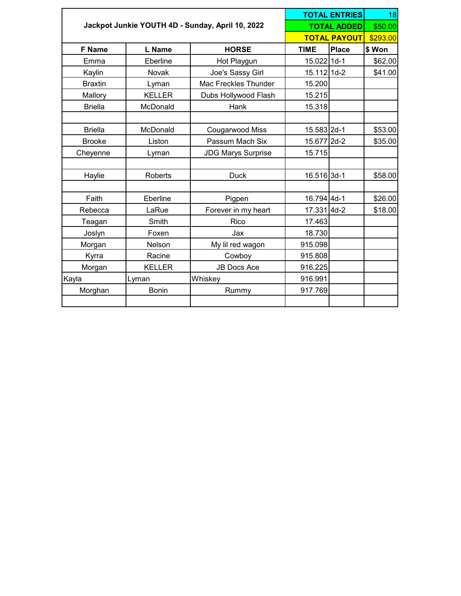|                |               |                                                  |             |                     | 18       |
|----------------|---------------|--------------------------------------------------|-------------|---------------------|----------|
|                |               | Jackpot Junkie YOUTH 4D - Sunday, April 10, 2022 |             | <b>TOTAL ADDED</b>  | \$50.00  |
|                |               |                                                  |             | <b>TOTAL PAYOUT</b> | \$293.00 |
| <b>F</b> Name  | L Name        | <b>HORSE</b>                                     | <b>TIME</b> | <b>Place</b>        | \$Won    |
| Emma           | Eberline      | Hot Playgun                                      | 15.022 1d-1 |                     | \$62.00  |
| Kaylin         | Novak         | Joe's Sassy Girl                                 | 15.112 1d-2 |                     | \$41.00  |
| <b>Braxtin</b> | Lyman         | Mac Freckles Thunder                             | 15.200      |                     |          |
| Mallory        | <b>KELLER</b> | Dubs Hollywood Flash                             | 15.215      |                     |          |
| <b>Briella</b> | McDonald      | Hank                                             | 15.318      |                     |          |
|                |               |                                                  |             |                     |          |
| <b>Briella</b> | McDonald      | Cougarwood Miss                                  | 15.583 2d-1 |                     | \$53.00  |
| <b>Brooke</b>  | Liston        | Passum Mach Six                                  | 15.677 2d-2 |                     | \$35.00  |
| Cheyenne       | Lyman         | <b>JDG Marys Surprise</b>                        | 15.715      |                     |          |
|                |               |                                                  |             |                     |          |
| Haylie         | Roberts       | <b>Duck</b>                                      | 16.516 3d-1 |                     | \$58.00  |
|                |               |                                                  |             |                     |          |
| Faith          | Eberline      | Pigpen                                           | 16.794 4d-1 |                     | \$26.00  |
| Rebecca        | LaRue         | Forever in my heart                              | 17.331 4d-2 |                     | \$18.00  |
| Teagan         | Smith         | Rico                                             | 17.463      |                     |          |
| Joslyn         | Foxen         | Jax                                              | 18.730      |                     |          |
| Morgan         | Nelson        | My lil red wagon                                 | 915.098     |                     |          |
| Kyrra          | Racine        | Cowboy                                           | 915.808     |                     |          |
| Morgan         | <b>KELLER</b> | <b>JB Docs Ace</b>                               | 916.225     |                     |          |
| Kayla          | Lyman         | Whiskey                                          | 916.991     |                     |          |
| Morghan        | <b>Bonin</b>  | Rummy                                            | 917.769     |                     |          |
|                |               |                                                  |             |                     |          |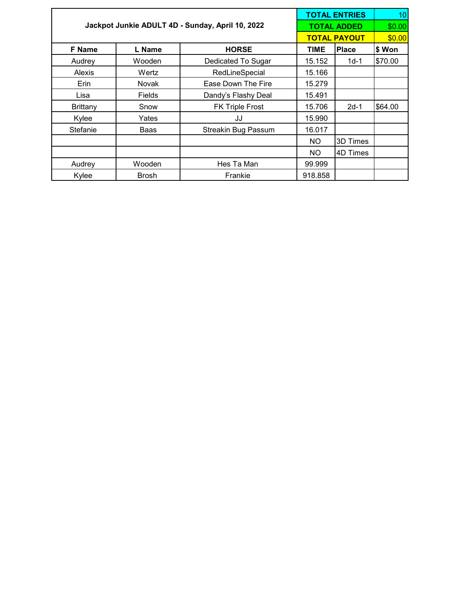|                 |               |                                                  | <b>TOTAL ENTRIES</b> | 10                  |         |  |
|-----------------|---------------|--------------------------------------------------|----------------------|---------------------|---------|--|
|                 |               | Jackpot Junkie ADULT 4D - Sunday, April 10, 2022 |                      | <b>TOTAL ADDED</b>  |         |  |
|                 |               |                                                  |                      | <b>TOTAL PAYOUT</b> | \$0.00  |  |
| <b>F</b> Name   | L Name        | <b>HORSE</b>                                     | <b>TIME</b>          | <b>Place</b>        | \$ Won  |  |
| Audrey          | Wooden        | Dedicated To Sugar                               | 15.152               | $1d-1$              | \$70.00 |  |
| <b>Alexis</b>   | Wertz         | RedLineSpecial                                   | 15.166               |                     |         |  |
| Erin            | <b>Novak</b>  | Ease Down The Fire                               | 15.279               |                     |         |  |
| Lisa            | <b>Fields</b> | Dandy's Flashy Deal                              | 15.491               |                     |         |  |
| <b>Brittany</b> | Snow          | <b>FK Triple Frost</b>                           | 15.706               | $2d-1$              | \$64.00 |  |
| Kylee           | Yates         | JJ                                               | 15.990               |                     |         |  |
| Stefanie        | Baas          | <b>Streakin Bug Passum</b>                       | 16.017               |                     |         |  |
|                 |               |                                                  | NO.                  | 3D Times            |         |  |
|                 |               |                                                  | NO.                  | 4D Times            |         |  |
| Audrey          | Wooden        | Hes Ta Man                                       | 99.999               |                     |         |  |
| Kylee           | <b>Brosh</b>  | Frankie                                          | 918.858              |                     |         |  |